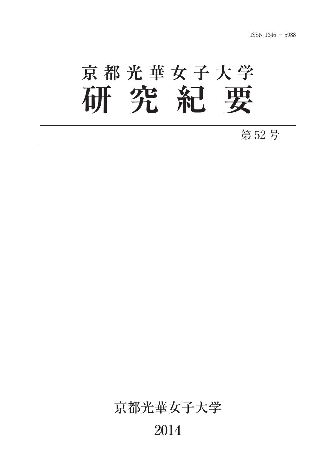# **京都光華女子大学 研究紀要**

#### 第 52 号

### 京都光華女子大学

#### 2014